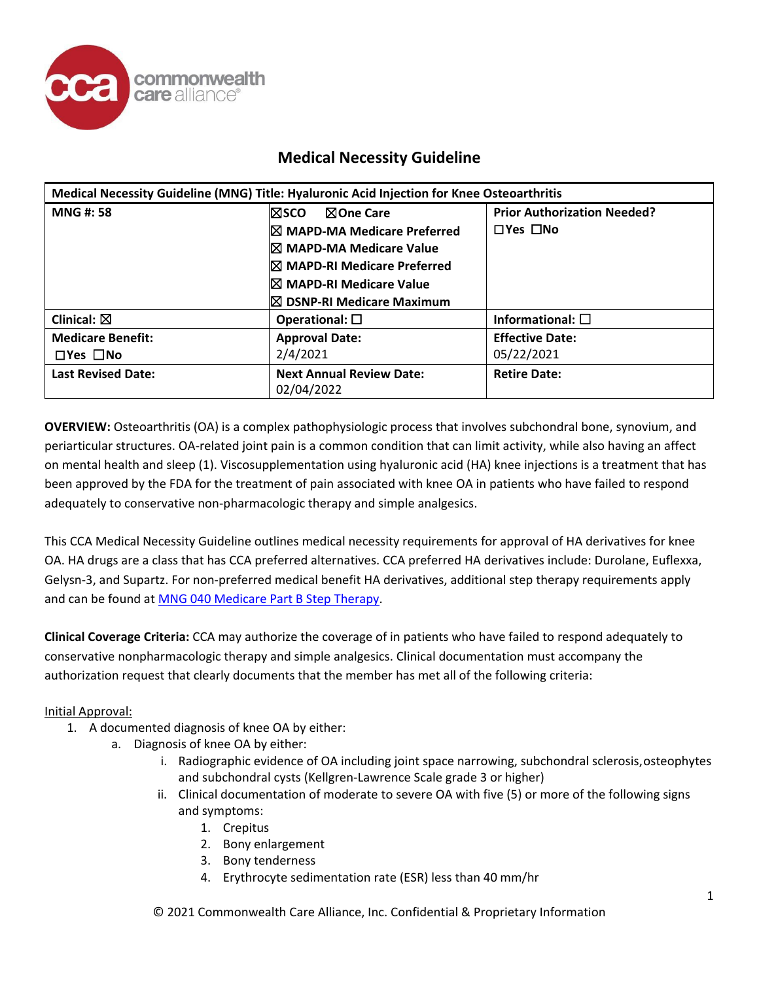

| Medical Necessity Guideline (MNG) Title: Hyaluronic Acid Injection for Knee Osteoarthritis |                                               |                                    |  |  |
|--------------------------------------------------------------------------------------------|-----------------------------------------------|------------------------------------|--|--|
| <b>MNG#: 58</b>                                                                            | <b>NOne Care</b><br>l⊠sco.                    | <b>Prior Authorization Needed?</b> |  |  |
|                                                                                            | <b>IX MAPD-MA Medicare Preferred</b>          | $\Box$ Yes $\Box$ No               |  |  |
|                                                                                            | <b>IX MAPD-MA Medicare Value</b>              |                                    |  |  |
|                                                                                            | <b>I</b> ⊠ MAPD-RI Medicare Preferred         |                                    |  |  |
|                                                                                            | <b>I⊠ MAPD-RI Medicare Value</b>              |                                    |  |  |
|                                                                                            | I⊠ DSNP-RI Medicare Maximum                   |                                    |  |  |
| Clinical: $\boxtimes$                                                                      | Operational: $\square$                        | Informational: $\square$           |  |  |
| <b>Medicare Benefit:</b>                                                                   | <b>Approval Date:</b>                         | <b>Effective Date:</b>             |  |  |
| $\square$ Yes $\square$ No                                                                 | 2/4/2021                                      | 05/22/2021                         |  |  |
| <b>Last Revised Date:</b>                                                                  | <b>Next Annual Review Date:</b><br>02/04/2022 | <b>Retire Date:</b>                |  |  |

**OVERVIEW:** Osteoarthritis (OA) is a complex pathophysiologic process that involves subchondral bone, synovium, and periarticular structures. OA-related joint pain is a common condition that can limit activity, while also having an affect on mental health and sleep (1). Viscosupplementation using hyaluronic acid (HA) knee injections is a treatment that has been approved by the FDA for the treatment of pain associated with knee OA in patients who have failed to respond adequately to conservative non-pharmacologic therapy and simple analgesics.

This CCA Medical Necessity Guideline outlines medical necessity requirements for approval of HA derivatives for knee OA. HA drugs are a class that has CCA preferred alternatives. CCA preferred HA derivatives include: Durolane, Euflexxa, Gelysn-3, and Supartz. For non-preferred medical benefit HA derivatives, additional step therapy requirements apply and can be found a[t MNG 040 Medicare Part B Step Therapy.](https://www.commonwealthcarealliance.org/wp-content/uploads/2021/01/Medicare-Part-B-Step-Therapy-MNG-040-5.pdf)

**Clinical Coverage Criteria:** CCA may authorize the coverage of in patients who have failed to respond adequately to conservative nonpharmacologic therapy and simple analgesics. Clinical documentation must accompany the authorization request that clearly documents that the member has met all of the following criteria:

Initial Approval:

- 1. A documented diagnosis of knee OA by either:
	- a. Diagnosis of knee OA by either:
		- i. Radiographic evidence of OA including joint space narrowing, subchondral sclerosis,osteophytes and subchondral cysts (Kellgren-Lawrence Scale grade 3 or higher)
		- ii. Clinical documentation of moderate to severe OA with five (5) or more of the following signs and symptoms:
			- 1. Crepitus
			- 2. Bony enlargement
			- 3. Bony tenderness
			- 4. Erythrocyte sedimentation rate (ESR) less than 40 mm/hr

© 2021 Commonwealth Care Alliance, Inc. Confidential & Proprietary Information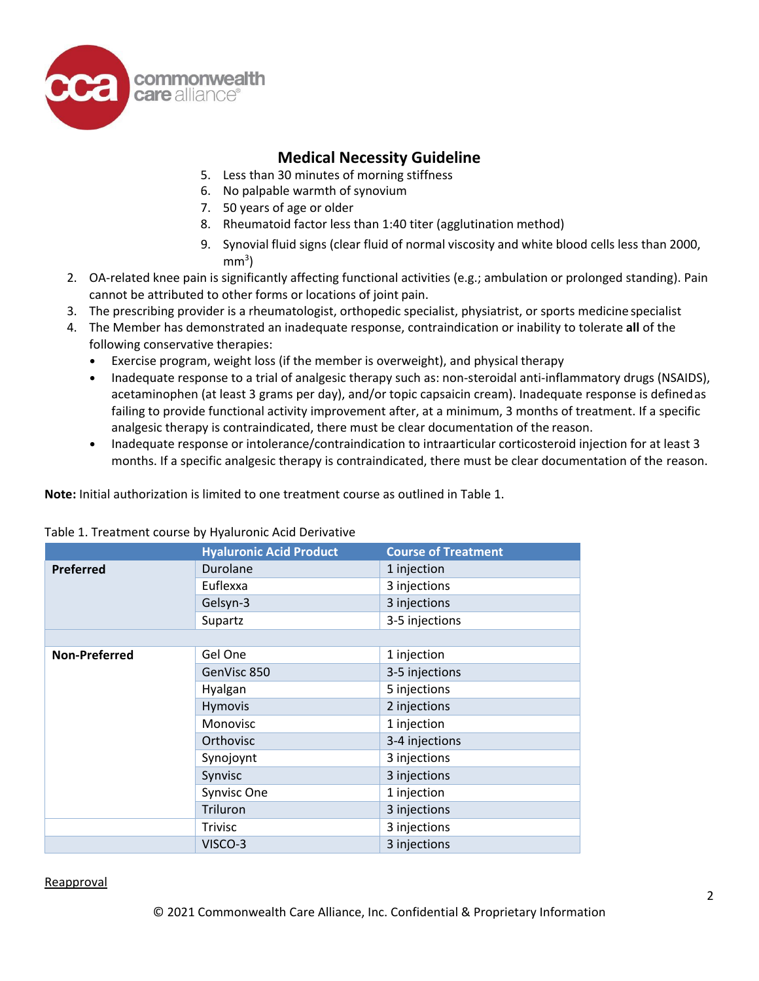

- 5. Less than 30 minutes of morning stiffness
- 6. No palpable warmth of synovium
- 7. 50 years of age or older
- 8. Rheumatoid factor less than 1:40 titer (agglutination method)
- 9. Synovial fluid signs (clear fluid of normal viscosity and white blood cells less than 2000,  $mm<sup>3</sup>$ )
- 2. OA-related knee pain is significantly affecting functional activities (e.g.; ambulation or prolonged standing). Pain cannot be attributed to other forms or locations of joint pain.
- 3. The prescribing provider is a rheumatologist, orthopedic specialist, physiatrist, or sports medicine specialist
- 4. The Member has demonstrated an inadequate response, contraindication or inability to tolerate **all** of the following conservative therapies:
	- Exercise program, weight loss (if the member is overweight), and physical therapy
	- Inadequate response to a trial of analgesic therapy such as: non-steroidal anti-inflammatory drugs (NSAIDS), acetaminophen (at least 3 grams per day), and/or topic capsaicin cream). Inadequate response is definedas failing to provide functional activity improvement after, at a minimum, 3 months of treatment. If a specific analgesic therapy is contraindicated, there must be clear documentation of the reason.
	- Inadequate response or intolerance/contraindication to intraarticular corticosteroid injection for at least 3 months. If a specific analgesic therapy is contraindicated, there must be clear documentation of the reason.

**Note:** Initial authorization is limited to one treatment course as outlined in Table 1.

|                      | <b>Hyaluronic Acid Product</b> | <b>Course of Treatment</b> |
|----------------------|--------------------------------|----------------------------|
| Preferred            | Durolane                       | 1 injection                |
|                      | Euflexxa                       | 3 injections               |
|                      | Gelsyn-3                       | 3 injections               |
|                      | Supartz                        | 3-5 injections             |
|                      |                                |                            |
| <b>Non-Preferred</b> | Gel One                        | 1 injection                |
|                      | GenVisc 850                    | 3-5 injections             |
|                      | Hyalgan                        | 5 injections               |
|                      | Hymovis                        | 2 injections               |
|                      | Monovisc                       | 1 injection                |
|                      | Orthovisc                      | 3-4 injections             |
|                      | Synojoynt                      | 3 injections               |
|                      | Synvisc                        | 3 injections               |
|                      | Synvisc One                    | 1 injection                |
|                      | Triluron                       | 3 injections               |
|                      | <b>Trivisc</b>                 | 3 injections               |
|                      | VISCO-3                        | 3 injections               |

### Table 1. Treatment course by Hyaluronic Acid Derivative

Reapproval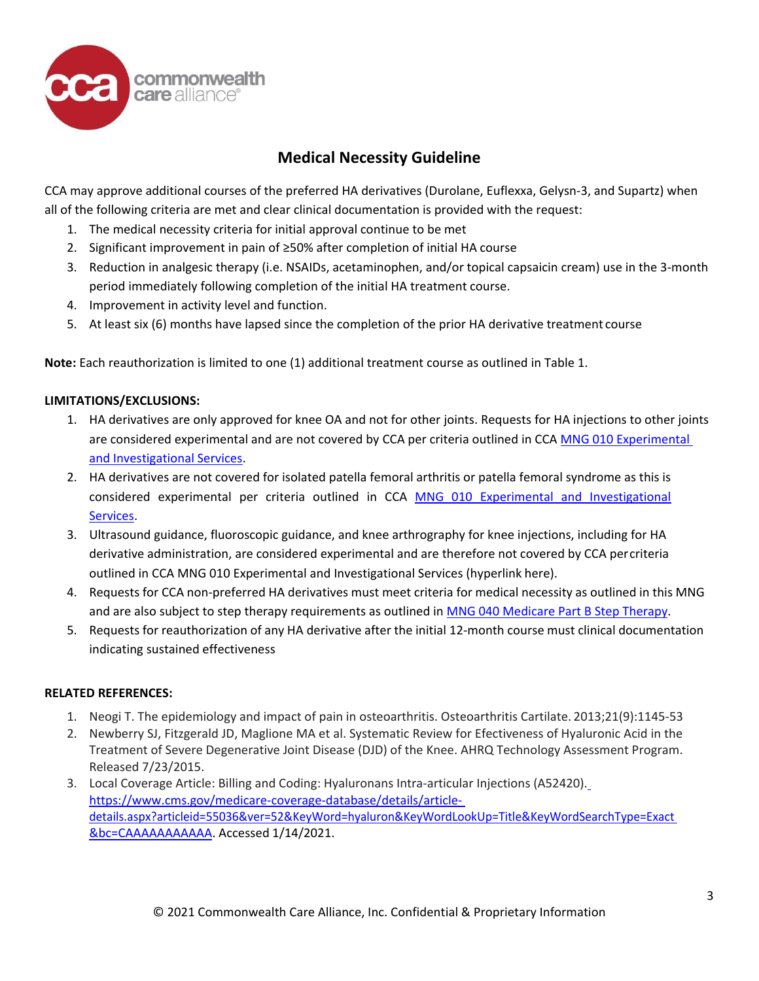

CCA may approve additional courses of the preferred HA derivatives (Durolane, Euflexxa, Gelysn-3, and Supartz) when all of the following criteria are met and clear clinical documentation is provided with the request:

- 1. The medical necessity criteria for initial approval continue to be met
- 2. Significant improvement in pain of ≥50% after completion of initial HA course
- 3. Reduction in analgesic therapy (i.e. NSAIDs, acetaminophen, and/or topical capsaicin cream) use in the 3-month period immediately following completion of the initial HA treatment course.
- 4. Improvement in activity level and function.
- 5. At least six (6) months have lapsed since the completion of the prior HA derivative treatment course

**Note:** Each reauthorization is limited to one (1) additional treatment course as outlined in Table 1.

### **LIMITATIONS/EXCLUSIONS:**

- 1. HA derivatives are only approved for knee OA and not for other joints. Requests for HA injections to other joints are considered experimental and are not covered by CCA per criteria outlined in CCA MNG 010 Experimental [and Investigational Services.](https://www.commonwealthcarealliance.org/wp-content/uploads/2021/01/Experimental-and-Investigational-Services-MNG-010-3.pdf)
- 2. HA derivatives are not covered for isolated patella femoral arthritis or patella femoral syndrome as this is considered experimental per criteria outlined in CCA [MNG 010 Experimental and Investigational](https://www.commonwealthcarealliance.org/wp-content/uploads/2021/01/Experimental-and-Investigational-Services-MNG-010-3.pdf)  [Services.](https://www.commonwealthcarealliance.org/wp-content/uploads/2021/01/Experimental-and-Investigational-Services-MNG-010-3.pdf)
- 3. Ultrasound guidance, fluoroscopic guidance, and knee arthrography for knee injections, including for HA derivative administration, are considered experimental and are therefore not covered by CCA percriteria outlined in CCA MNG 010 Experimental and Investigational Services (hyperlink here).
- 4. Requests for CCA non-preferred HA derivatives must meet criteria for medical necessity as outlined in this MNG and are also subject to step therapy requirements as outlined in [MNG 040 Medicare Part B Step Therapy.](https://www.commonwealthcarealliance.org/wp-content/uploads/2021/01/Medicare-Part-B-Step-Therapy-MNG-040-5.pdf)
- 5. Requests for reauthorization of any HA derivative after the initial 12-month course must clinical documentation indicating sustained effectiveness

### **RELATED REFERENCES:**

- 1. Neogi T. The epidemiology and impact of pain in osteoarthritis. Osteoarthritis Cartilate. 2013;21(9):1145-53
- 2. Newberry SJ, Fitzgerald JD, Maglione MA et al. Systematic Review for Efectiveness of Hyaluronic Acid in the Treatment of Severe Degenerative Joint Disease (DJD) of the Knee. AHRQ Technology Assessment Program. Released 7/23/2015.
- 3. Local Coverage Article: Billing and Coding: Hyaluronans Intra-articular Injections (A52420). [https://www.cms.gov/medicare-coverage-database/details/article](https://www.cms.gov/medicare-coverage-database/details/article-details.aspx?articleid=55036&ver=52&KeyWord=hyaluron&KeyWordLookUp=Title&KeyWordSearchType=Exact&bc=CAAAAAAAAAAA)[details.aspx?articleid=55036&ver=52&KeyWord=hyaluron&KeyWordLookUp=Title&KeyWordSearchType=Exact](https://www.cms.gov/medicare-coverage-database/details/article-details.aspx?articleid=55036&ver=52&KeyWord=hyaluron&KeyWordLookUp=Title&KeyWordSearchType=Exact&bc=CAAAAAAAAAAA) [&bc=CAAAAAAAAAAA.](https://www.cms.gov/medicare-coverage-database/details/article-details.aspx?articleid=55036&ver=52&KeyWord=hyaluron&KeyWordLookUp=Title&KeyWordSearchType=Exact&bc=CAAAAAAAAAAA) Accessed 1/14/2021.